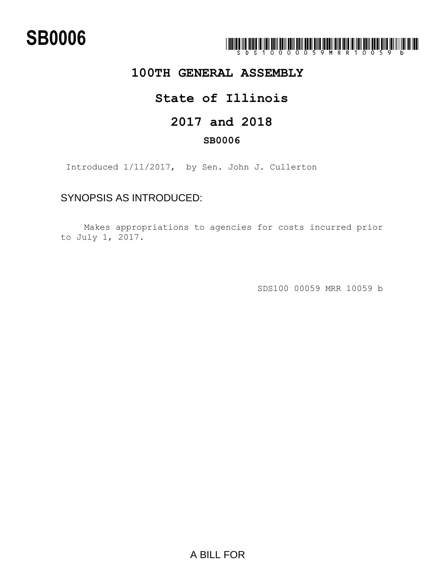# **SB0006**



### **100TH GENERAL ASSEMBLY**

### **State of Illinois**

### **2017 and 2018**

### **SB0006**

Introduced 1/11/2017, by Sen. John J. Cullerton

### SYNOPSIS AS INTRODUCED:

Makes appropriations to agencies for costs incurred prior to July 1, 2017.

SDS100 00059 MRR 10059 b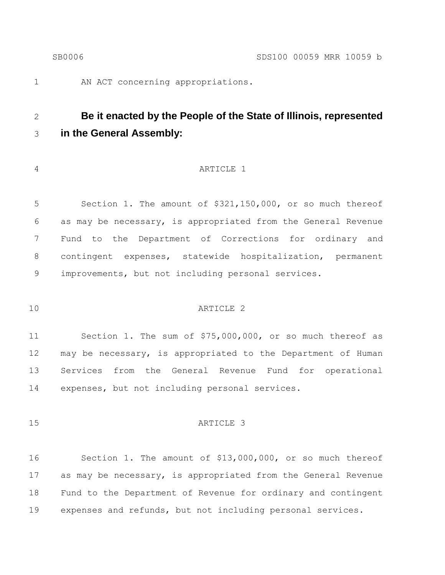AN ACT concerning appropriations.

## **Be it enacted by the People of the State of Illinois, represented in the General Assembly:**

#### ARTICLE 1

 Section 1. The amount of \$321,150,000, or so much thereof as may be necessary, is appropriated from the General Revenue Fund to the Department of Corrections for ordinary and contingent expenses, statewide hospitalization, permanent improvements, but not including personal services.

#### ARTICLE 2

 Section 1. The sum of \$75,000,000, or so much thereof as may be necessary, is appropriated to the Department of Human Services from the General Revenue Fund for operational expenses, but not including personal services.

#### 15 ARTICLE 3

 Section 1. The amount of \$13,000,000, or so much thereof as may be necessary, is appropriated from the General Revenue Fund to the Department of Revenue for ordinary and contingent expenses and refunds, but not including personal services.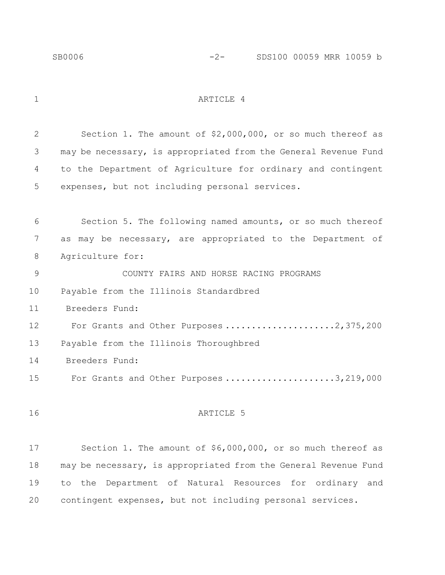1 ARTICLE 4

 Section 1. The amount of \$2,000,000, or so much thereof as may be necessary, is appropriated from the General Revenue Fund to the Department of Agriculture for ordinary and contingent expenses, but not including personal services. Section 5. The following named amounts, or so much thereof as may be necessary, are appropriated to the Department of Agriculture for: COUNTY FAIRS AND HORSE RACING PROGRAMS Payable from the Illinois Standardbred Breeders Fund: 12 For Grants and Other Purposes .....................2,375,200 Payable from the Illinois Thoroughbred Breeders Fund: 15 For Grants and Other Purposes .....................3,219,000 16 ARTICLE 5 Section 1. The amount of \$6,000,000, or so much thereof as may be necessary, is appropriated from the General Revenue Fund to the Department of Natural Resources for ordinary and contingent expenses, but not including personal services.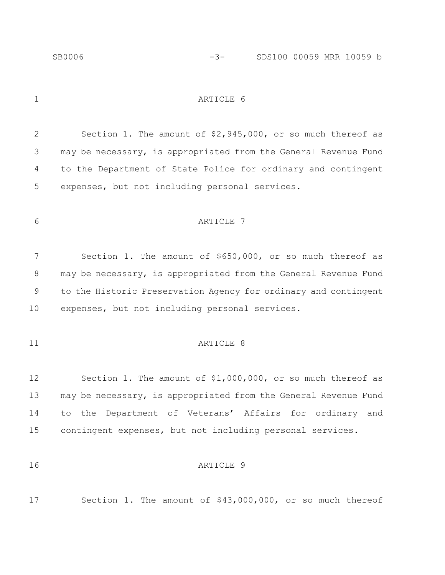1 ARTICLE 6

 Section 1. The amount of \$2,945,000, or so much thereof as may be necessary, is appropriated from the General Revenue Fund to the Department of State Police for ordinary and contingent expenses, but not including personal services.

#### 6 ARTICLE 7

 Section 1. The amount of \$650,000, or so much thereof as 8 may be necessary, is appropriated from the General Revenue Fund to the Historic Preservation Agency for ordinary and contingent expenses, but not including personal services.

#### 11 ARTICLE 8

 Section 1. The amount of \$1,000,000, or so much thereof as may be necessary, is appropriated from the General Revenue Fund to the Department of Veterans' Affairs for ordinary and contingent expenses, but not including personal services.

#### **ARTICLE** 9

Section 1. The amount of \$43,000,000, or so much thereof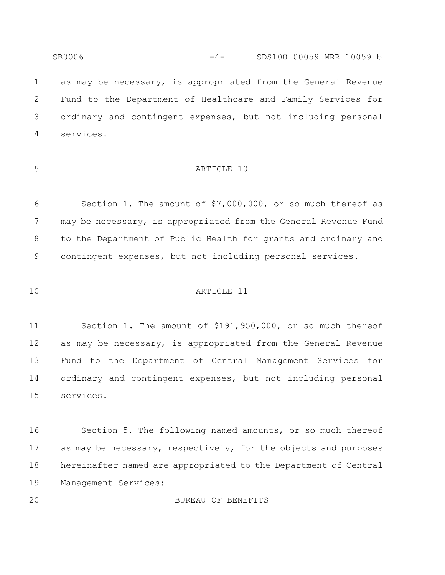as may be necessary, is appropriated from the General Revenue Fund to the Department of Healthcare and Family Services for ordinary and contingent expenses, but not including personal services.

SB0006 -4- SDS100 00059 MRR 10059 b

#### ARTICLE 10

 Section 1. The amount of \$7,000,000, or so much thereof as 7 may be necessary, is appropriated from the General Revenue Fund to the Department of Public Health for grants and ordinary and contingent expenses, but not including personal services.

ARTICLE 11

 Section 1. The amount of \$191,950,000, or so much thereof as may be necessary, is appropriated from the General Revenue Fund to the Department of Central Management Services for ordinary and contingent expenses, but not including personal services.

 Section 5. The following named amounts, or so much thereof 17 as may be necessary, respectively, for the objects and purposes hereinafter named are appropriated to the Department of Central Management Services:

BUREAU OF BENEFITS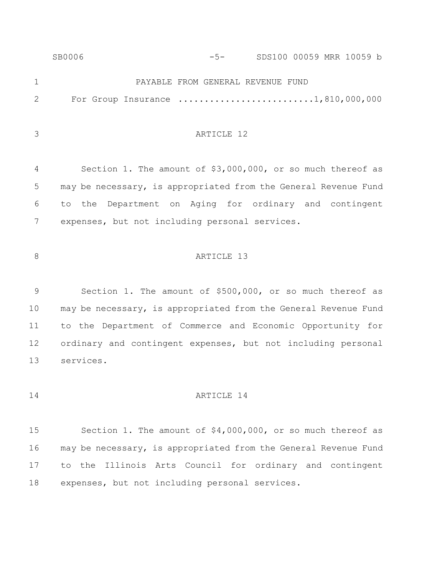|                | SB0006 | $-5-$                             | SDS100 00059 MRR 10059 b                                                                    |
|----------------|--------|-----------------------------------|---------------------------------------------------------------------------------------------|
| $\mathbf{1}$   |        | PAYABLE FROM GENERAL REVENUE FUND |                                                                                             |
| 2              |        |                                   | For Group Insurance $\ldots \ldots \ldots \ldots \ldots \ldots \ldots \ldots 1,810,000,000$ |
|                |        |                                   |                                                                                             |
| 3              |        | ARTICLE 12                        |                                                                                             |
|                |        |                                   |                                                                                             |
| $\overline{4}$ |        |                                   | Section 1. The amount of \$3,000,000, or so much thereof as                                 |
| 5              |        |                                   | may be necessary, is appropriated from the General Revenue Fund                             |
| 6              |        |                                   | to the Department on Aging for ordinary and contingent                                      |

expenses, but not including personal services.

#### 8 ARTICLE 13

 Section 1. The amount of \$500,000, or so much thereof as may be necessary, is appropriated from the General Revenue Fund to the Department of Commerce and Economic Opportunity for ordinary and contingent expenses, but not including personal services.

#### 14 ARTICLE 14

 Section 1. The amount of \$4,000,000, or so much thereof as may be necessary, is appropriated from the General Revenue Fund to the Illinois Arts Council for ordinary and contingent expenses, but not including personal services.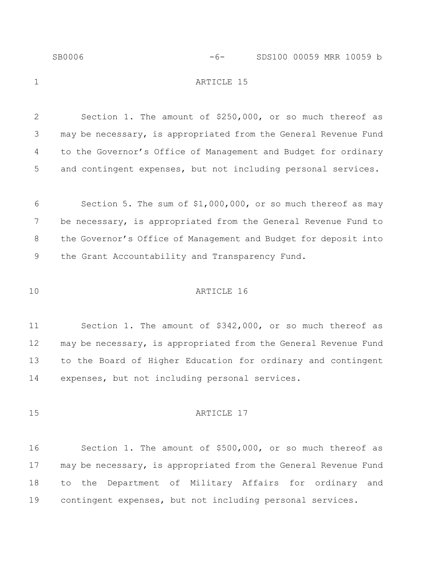| SB0006 | $-6-$      | SDS100 00059 MRR 10059 b |  |  |
|--------|------------|--------------------------|--|--|
|        | ARTICLE 15 |                          |  |  |
|        |            |                          |  |  |

 Section 1. The amount of \$250,000, or so much thereof as may be necessary, is appropriated from the General Revenue Fund to the Governor's Office of Management and Budget for ordinary and contingent expenses, but not including personal services.

 Section 5. The sum of \$1,000,000, or so much thereof as may be necessary, is appropriated from the General Revenue Fund to the Governor's Office of Management and Budget for deposit into the Grant Accountability and Transparency Fund.

#### ARTICLE 16

 Section 1. The amount of \$342,000, or so much thereof as may be necessary, is appropriated from the General Revenue Fund to the Board of Higher Education for ordinary and contingent expenses, but not including personal services.

15 ARTICLE 17

 Section 1. The amount of \$500,000, or so much thereof as may be necessary, is appropriated from the General Revenue Fund to the Department of Military Affairs for ordinary and contingent expenses, but not including personal services.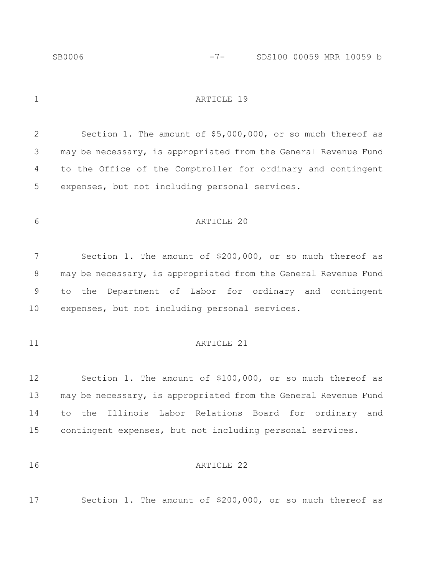1 ARTICLE 19

 Section 1. The amount of \$5,000,000, or so much thereof as may be necessary, is appropriated from the General Revenue Fund to the Office of the Comptroller for ordinary and contingent expenses, but not including personal services.

#### ARTICLE 20

 Section 1. The amount of \$200,000, or so much thereof as 8 may be necessary, is appropriated from the General Revenue Fund to the Department of Labor for ordinary and contingent expenses, but not including personal services.

#### 11 ARTICLE 21

 Section 1. The amount of \$100,000, or so much thereof as may be necessary, is appropriated from the General Revenue Fund to the Illinois Labor Relations Board for ordinary and contingent expenses, but not including personal services.

#### ARTICLE 22

Section 1. The amount of \$200,000, or so much thereof as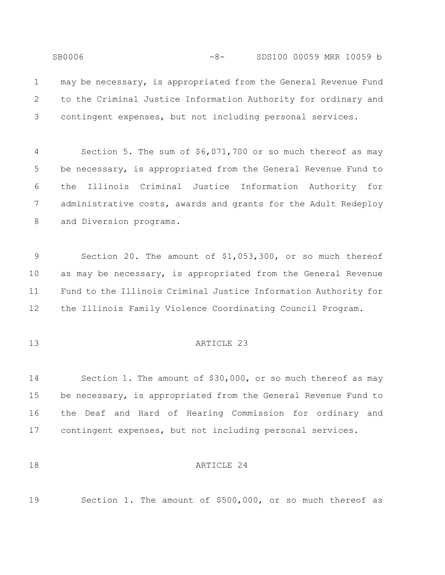SB0006 -8- SDS100 00059 MRR 10059 b may be necessary, is appropriated from the General Revenue Fund to the Criminal Justice Information Authority for ordinary and contingent expenses, but not including personal services.

 Section 5. The sum of \$6,071,700 or so much thereof as may be necessary, is appropriated from the General Revenue Fund to the Illinois Criminal Justice Information Authority for administrative costs, awards and grants for the Adult Redeploy and Diversion programs.

 Section 20. The amount of \$1,053,300, or so much thereof as may be necessary, is appropriated from the General Revenue Fund to the Illinois Criminal Justice Information Authority for the Illinois Family Violence Coordinating Council Program.

#### ARTICLE 23

 Section 1. The amount of \$30,000, or so much thereof as may be necessary, is appropriated from the General Revenue Fund to the Deaf and Hard of Hearing Commission for ordinary and contingent expenses, but not including personal services.

#### 18 ARTICLE 24

Section 1. The amount of \$500,000, or so much thereof as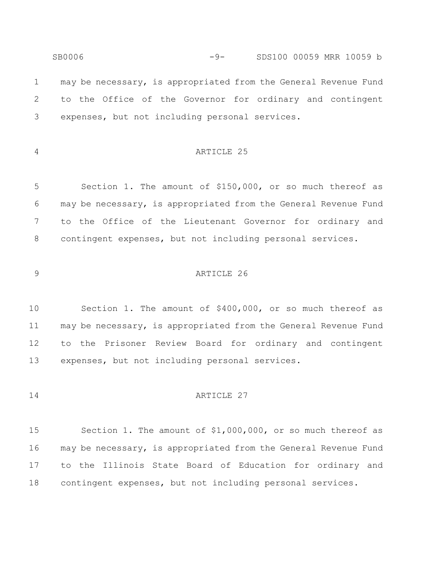SB0006 -9- SDS100 00059 MRR 10059 b may be necessary, is appropriated from the General Revenue Fund to the Office of the Governor for ordinary and contingent expenses, but not including personal services.

#### ARTICLE 25

 Section 1. The amount of \$150,000, or so much thereof as may be necessary, is appropriated from the General Revenue Fund to the Office of the Lieutenant Governor for ordinary and contingent expenses, but not including personal services.

#### ARTICLE 26

 Section 1. The amount of \$400,000, or so much thereof as may be necessary, is appropriated from the General Revenue Fund to the Prisoner Review Board for ordinary and contingent expenses, but not including personal services.

#### **ARTICLE** 27

 Section 1. The amount of \$1,000,000, or so much thereof as may be necessary, is appropriated from the General Revenue Fund to the Illinois State Board of Education for ordinary and contingent expenses, but not including personal services.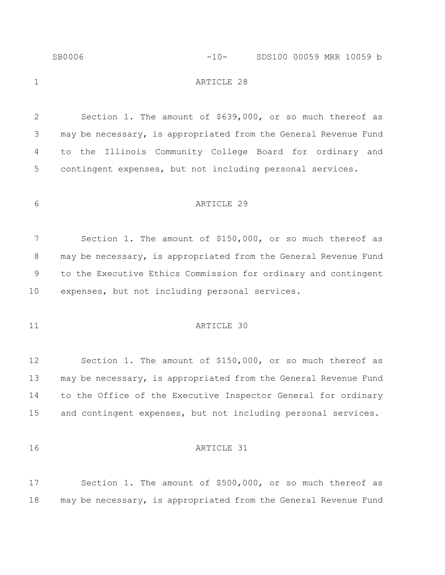|              | SB0006                                                    | $-10-$     | SDS100 00059 MRR 10059 b                                        |
|--------------|-----------------------------------------------------------|------------|-----------------------------------------------------------------|
| $\mathbf 1$  |                                                           | ARTICLE 28 |                                                                 |
| $\mathbf{2}$ |                                                           |            | Section 1. The amount of \$639,000, or so much thereof as       |
| 3            |                                                           |            | may be necessary, is appropriated from the General Revenue Fund |
| 4            |                                                           |            | to the Illinois Community College Board for ordinary and        |
| 5            | contingent expenses, but not including personal services. |            |                                                                 |
| 6            |                                                           | ARTICLE 29 |                                                                 |
| 7            |                                                           |            | Section 1. The amount of \$150,000, or so much thereof as       |
| 8            |                                                           |            | may be necessary, is appropriated from the General Revenue Fund |
| 9            |                                                           |            | to the Executive Ethics Commission for ordinary and contingent  |
| 10           | expenses, but not including personal services.            |            |                                                                 |
| 11           |                                                           | ARTICLE 30 |                                                                 |
| 12           |                                                           |            | Section 1. The amount of \$150,000, or so much thereof as       |
| 13           |                                                           |            | may be necessary, is appropriated from the General Revenue Fund |
| 14           |                                                           |            | to the Office of the Executive Inspector General for ordinary   |
| 15           |                                                           |            | and contingent expenses, but not including personal services.   |
| 16           |                                                           | ARTICLE 31 |                                                                 |

 Section 1. The amount of \$500,000, or so much thereof as may be necessary, is appropriated from the General Revenue Fund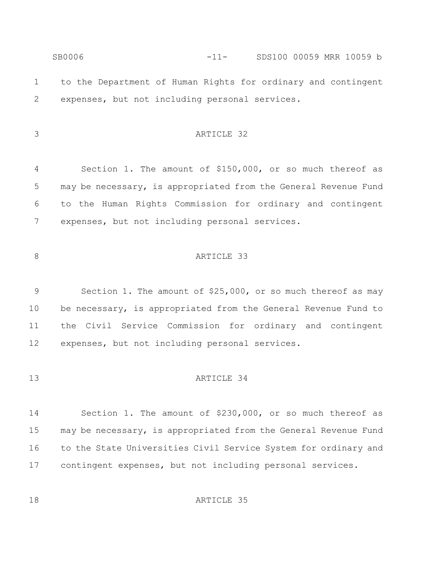SB0006 -11- SDS100 00059 MRR 10059 b to the Department of Human Rights for ordinary and contingent expenses, but not including personal services.

#### ARTICLE 32

 Section 1. The amount of \$150,000, or so much thereof as may be necessary, is appropriated from the General Revenue Fund to the Human Rights Commission for ordinary and contingent expenses, but not including personal services.

#### 8 ARTICLE 33

 Section 1. The amount of \$25,000, or so much thereof as may be necessary, is appropriated from the General Revenue Fund to the Civil Service Commission for ordinary and contingent expenses, but not including personal services.

#### ARTICLE 34

 Section 1. The amount of \$230,000, or so much thereof as may be necessary, is appropriated from the General Revenue Fund 16 to the State Universities Civil Service System for ordinary and contingent expenses, but not including personal services.

18 ARTICLE 35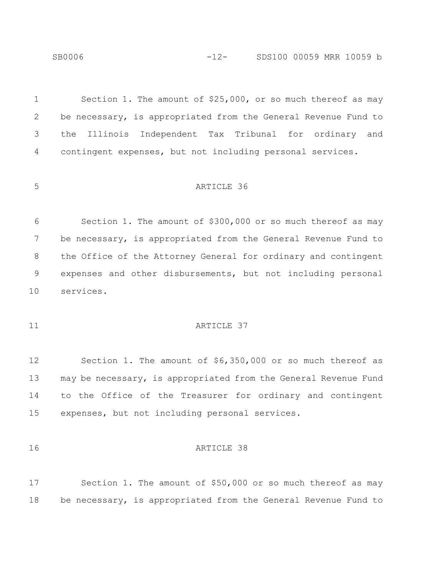SB0006 -12- SDS100 00059 MRR 10059 b

 Section 1. The amount of \$25,000, or so much thereof as may be necessary, is appropriated from the General Revenue Fund to the Illinois Independent Tax Tribunal for ordinary and contingent expenses, but not including personal services.

#### ARTICLE 36

 Section 1. The amount of \$300,000 or so much thereof as may be necessary, is appropriated from the General Revenue Fund to the Office of the Attorney General for ordinary and contingent expenses and other disbursements, but not including personal services.

#### 11 ARTICLE 37

 Section 1. The amount of \$6,350,000 or so much thereof as may be necessary, is appropriated from the General Revenue Fund to the Office of the Treasurer for ordinary and contingent expenses, but not including personal services.

#### ARTICLE 38

 Section 1. The amount of \$50,000 or so much thereof as may be necessary, is appropriated from the General Revenue Fund to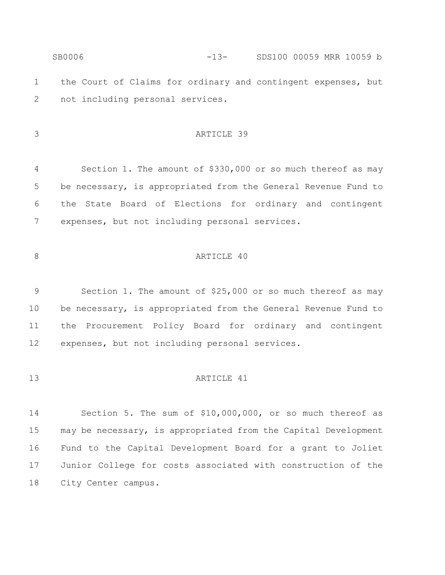| SB0006 |  |  | $-13-$ |  |                                  |  |  |  |                                                                                           |
|--------|--|--|--------|--|----------------------------------|--|--|--|-------------------------------------------------------------------------------------------|
|        |  |  |        |  |                                  |  |  |  |                                                                                           |
|        |  |  |        |  |                                  |  |  |  |                                                                                           |
|        |  |  |        |  | not including personal services. |  |  |  | SDS100 00059 MRR 10059 b<br>the Court of Claims for ordinary and contingent expenses, but |

ARTICLE 39

 Section 1. The amount of \$330,000 or so much thereof as may be necessary, is appropriated from the General Revenue Fund to the State Board of Elections for ordinary and contingent expenses, but not including personal services.

#### 8 ARTICLE 40

 Section 1. The amount of \$25,000 or so much thereof as may be necessary, is appropriated from the General Revenue Fund to the Procurement Policy Board for ordinary and contingent expenses, but not including personal services.

#### 13 ARTICLE 41

 Section 5. The sum of \$10,000,000, or so much thereof as may be necessary, is appropriated from the Capital Development Fund to the Capital Development Board for a grant to Joliet Junior College for costs associated with construction of the City Center campus.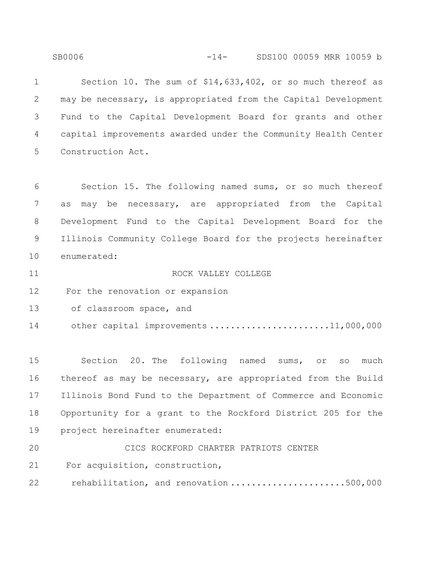SB0006 -14- SDS100 00059 MRR 10059 b

 Section 10. The sum of \$14,633,402, or so much thereof as may be necessary, is appropriated from the Capital Development Fund to the Capital Development Board for grants and other capital improvements awarded under the Community Health Center Construction Act.

 Section 15. The following named sums, or so much thereof as may be necessary, are appropriated from the Capital Development Fund to the Capital Development Board for the Illinois Community College Board for the projects hereinafter enumerated:

 ROCK VALLEY COLLEGE For the renovation or expansion

13 of classroom space, and

14 other capital improvements .........................11,000,000

 Section 20. The following named sums, or so much thereof as may be necessary, are appropriated from the Build Illinois Bond Fund to the Department of Commerce and Economic Opportunity for a grant to the Rockford District 205 for the project hereinafter enumerated:

CICS ROCKFORD CHARTER PATRIOTS CENTER

For acquisition, construction,

22 rehabilitation, and renovation ......................500,000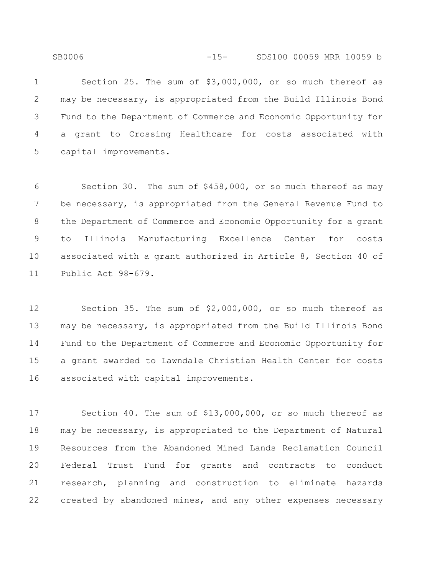SB0006 -15- SDS100 00059 MRR 10059 b

 Section 25. The sum of \$3,000,000, or so much thereof as may be necessary, is appropriated from the Build Illinois Bond Fund to the Department of Commerce and Economic Opportunity for a grant to Crossing Healthcare for costs associated with capital improvements.

 Section 30. The sum of \$458,000, or so much thereof as may be necessary, is appropriated from the General Revenue Fund to the Department of Commerce and Economic Opportunity for a grant to Illinois Manufacturing Excellence Center for costs associated with a grant authorized in Article 8, Section 40 of Public Act 98-679.

 Section 35. The sum of \$2,000,000, or so much thereof as may be necessary, is appropriated from the Build Illinois Bond Fund to the Department of Commerce and Economic Opportunity for a grant awarded to Lawndale Christian Health Center for costs associated with capital improvements.

 Section 40. The sum of \$13,000,000, or so much thereof as may be necessary, is appropriated to the Department of Natural Resources from the Abandoned Mined Lands Reclamation Council Federal Trust Fund for grants and contracts to conduct research, planning and construction to eliminate hazards created by abandoned mines, and any other expenses necessary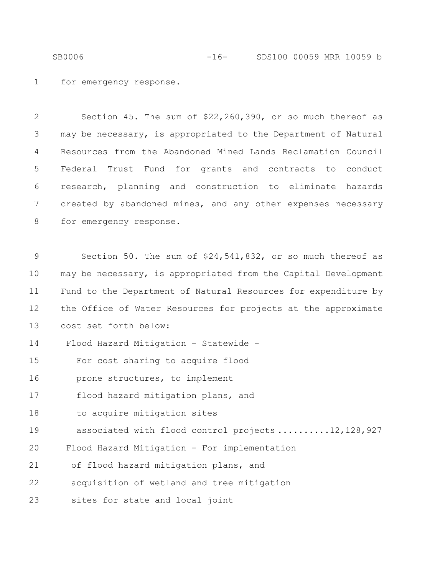SB0006 -16- SDS100 00059 MRR 10059 b

1 for emergency response.

 Section 45. The sum of \$22,260,390, or so much thereof as may be necessary, is appropriated to the Department of Natural Resources from the Abandoned Mined Lands Reclamation Council Federal Trust Fund for grants and contracts to conduct research, planning and construction to eliminate hazards created by abandoned mines, and any other expenses necessary 8 for emergency response.

9 Section 50. The sum of \$24,541,832, or so much thereof as 10 may be necessary, is appropriated from the Capital Development 11 Fund to the Department of Natural Resources for expenditure by 12 the Office of Water Resources for projects at the approximate 13 cost set forth below: 14 Flood Hazard Mitigation – Statewide – 15 For cost sharing to acquire flood 16 prone structures, to implement 17 flood hazard mitigation plans, and 18 to acquire mitigation sites 19 associated with flood control projects ..........12,128,927 20 Flood Hazard Mitigation - For implementation 21 of flood hazard mitigation plans, and 22 acquisition of wetland and tree mitigation 23 sites for state and local joint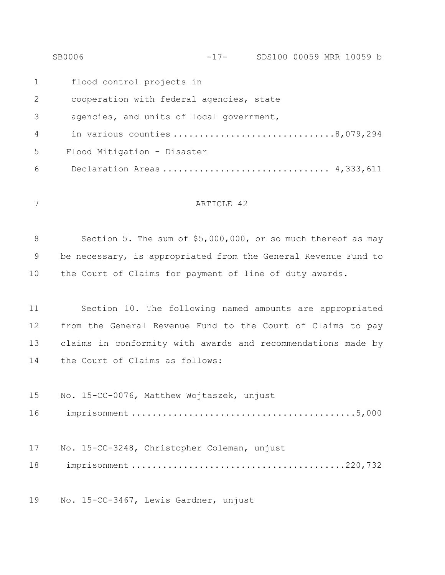|                 | SB0006                                   | $-17-$ | SDS100 00059 MRR 10059 b |  |  |
|-----------------|------------------------------------------|--------|--------------------------|--|--|
| 1               | flood control projects in                |        |                          |  |  |
| 2               | cooperation with federal agencies, state |        |                          |  |  |
| 3               | agencies, and units of local government, |        |                          |  |  |
| $\overline{4}$  | in various counties 8,079,294            |        |                          |  |  |
| $5\overline{)}$ | Flood Mitigation - Disaster              |        |                          |  |  |
| 6               | Declaration Areas  4,333,611             |        |                          |  |  |
|                 |                                          |        |                          |  |  |

#### ARTICLE 42

8 Section 5. The sum of \$5,000,000, or so much thereof as may be necessary, is appropriated from the General Revenue Fund to the Court of Claims for payment of line of duty awards.

 Section 10. The following named amounts are appropriated from the General Revenue Fund to the Court of Claims to pay claims in conformity with awards and recommendations made by the Court of Claims as follows:

 No. 15-CC-0076, Matthew Wojtaszek, unjust imprisonment ...........................................5,000 No. 15-CC-3248, Christopher Coleman, unjust imprisonment .........................................220,732

No. 15-CC-3467, Lewis Gardner, unjust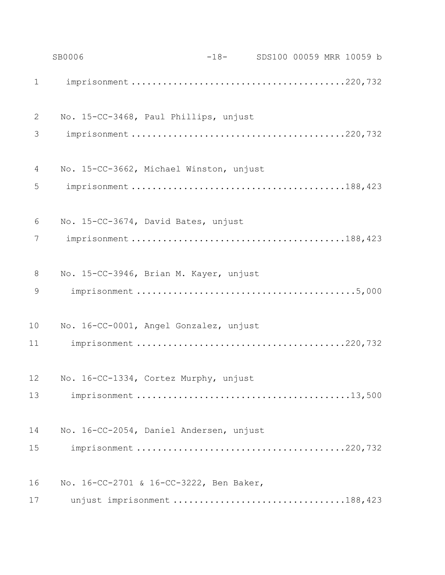|             | SB0006                                  | -18- SDS100 00059 MRR 10059 b |  |  |  |
|-------------|-----------------------------------------|-------------------------------|--|--|--|
| $\mathbf 1$ |                                         |                               |  |  |  |
| 2           | No. 15-CC-3468, Paul Phillips, unjust   |                               |  |  |  |
| 3           |                                         |                               |  |  |  |
| 4           | No. 15-CC-3662, Michael Winston, unjust |                               |  |  |  |
| 5           |                                         |                               |  |  |  |
| 6           | No. 15-CC-3674, David Bates, unjust     |                               |  |  |  |
| 7           |                                         |                               |  |  |  |
| $8\,$       | No. 15-CC-3946, Brian M. Kayer, unjust  |                               |  |  |  |
| 9           |                                         |                               |  |  |  |
| 10          | No. 16-CC-0001, Angel Gonzalez, unjust  |                               |  |  |  |
| 11          |                                         |                               |  |  |  |
| 12          | No. 16-CC-1334, Cortez Murphy, unjust   |                               |  |  |  |
| 13          |                                         |                               |  |  |  |
| 14          | No. 16-CC-2054, Daniel Andersen, unjust |                               |  |  |  |
| 15          |                                         |                               |  |  |  |
| 16          | No. 16-CC-2701 & 16-CC-3222, Ben Baker, |                               |  |  |  |
| 17          | unjust imprisonment 188,423             |                               |  |  |  |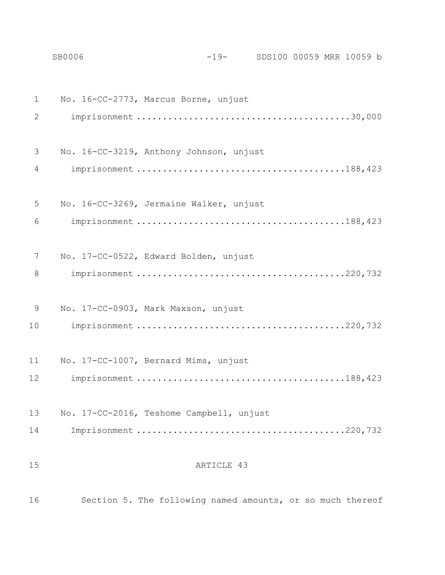No. 16-CC-2773, Marcus Borne, unjust imprisonment .........................................30,000 No. 16-CC-3219, Anthony Johnson, unjust imprisonment ........................................188,423 No. 16-CC-3269, Jermaine Walker, unjust imprisonment ........................................188,423 No. 17-CC-0522, Edward Bolden, unjust imprisonment ........................................220,732 No. 17-CC-0903, Mark Maxson, unjust imprisonment ........................................220,732 No. 17-CC-1007, Bernard Mims, unjust imprisonment ........................................188,423 No. 17-CC-2016, Teshome Campbell, unjust Imprisonment ........................................220,732 15 ARTICLE 43

SB0006 -19- SDS100 00059 MRR 10059 b

Section 5. The following named amounts, or so much thereof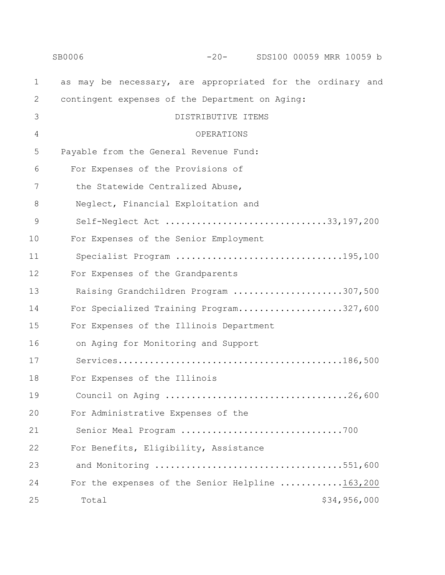|               | SB0006<br>$-20-$<br>SDS100 00059 MRR 10059 b               |
|---------------|------------------------------------------------------------|
| $\mathbf 1$   | as may be necessary, are appropriated for the ordinary and |
| $\mathbf{2}$  | contingent expenses of the Department on Aging:            |
| 3             | DISTRIBUTIVE ITEMS                                         |
| 4             | OPERATIONS                                                 |
| 5             | Payable from the General Revenue Fund:                     |
| 6             | For Expenses of the Provisions of                          |
| 7             | the Statewide Centralized Abuse,                           |
| 8             | Neglect, Financial Exploitation and                        |
| $\mathcal{G}$ | Self-Neglect Act 33,197,200                                |
| 10            | For Expenses of the Senior Employment                      |
| 11            | Specialist Program 195,100                                 |
| 12            | For Expenses of the Grandparents                           |
| 13            | Raising Grandchildren Program 307,500                      |
| 14            | For Specialized Training Program327,600                    |
| 15            | For Expenses of the Illinois Department                    |
| 16            | on Aging for Monitoring and Support                        |
| 17            |                                                            |
| 18            | For Expenses of the Illinois                               |
| 19            |                                                            |
| 20            | For Administrative Expenses of the                         |
| 21            | Senior Meal Program 700                                    |
| 22            | For Benefits, Eligibility, Assistance                      |
| 23            | and Monitoring 551,600                                     |
| 24            | For the expenses of the Senior Helpline 163,200            |
| 25            | \$34,956,000<br>Total                                      |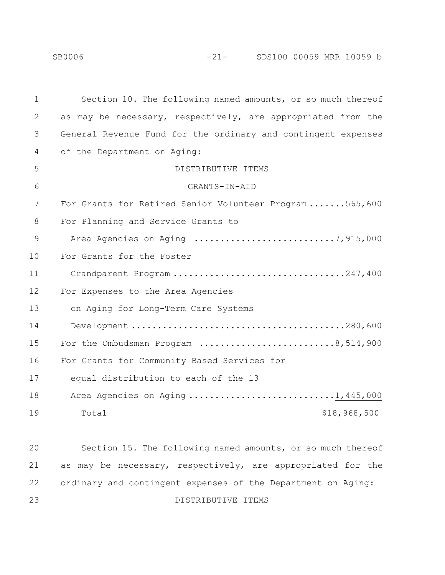| $\mathbf 1$ | Section 10. The following named amounts, or so much thereof   |
|-------------|---------------------------------------------------------------|
| 2           | as may be necessary, respectively, are appropriated from the  |
| 3           | General Revenue Fund for the ordinary and contingent expenses |
| 4           | of the Department on Aging:                                   |
| 5           | DISTRIBUTIVE ITEMS                                            |
| 6           | GRANTS-IN-AID                                                 |
| 7           | For Grants for Retired Senior Volunteer Program565,600        |
| 8           | For Planning and Service Grants to                            |
| 9           | Area Agencies on Aging 7,915,000                              |
| 10          | For Grants for the Foster                                     |
| 11          | Grandparent Program 247,400                                   |
| 12          | For Expenses to the Area Agencies                             |
| 13          | on Aging for Long-Term Care Systems                           |
| 14          |                                                               |
| 15          | For the Ombudsman Program 8,514,900                           |
| 16          | For Grants for Community Based Services for                   |
| 17          | equal distribution to each of the 13                          |
| 18          | Area Agencies on Aging 1,445,000                              |
| 19          | \$18,968,500<br>Total                                         |
|             |                                                               |
| 20          | Section 15. The following named amounts, or so much thereof   |
| 21          | as may be necessary, respectively, are appropriated for the   |
| 22          | ordinary and contingent expenses of the Department on Aging:  |

DISTRIBUTIVE ITEMS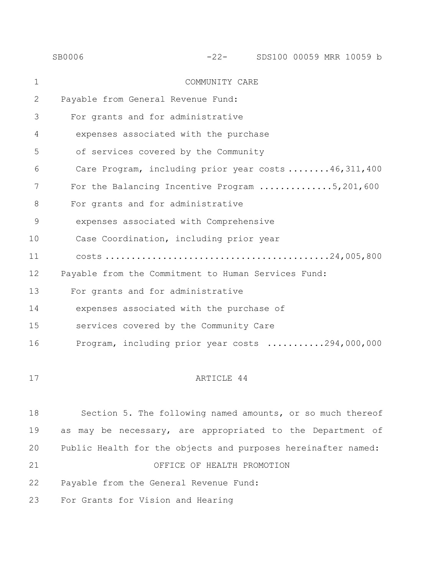|             | SB0006                                                        |                                                            |  | -22- SDS100 00059 MRR 10059 b |  |
|-------------|---------------------------------------------------------------|------------------------------------------------------------|--|-------------------------------|--|
| $\mathbf 1$ |                                                               | COMMUNITY CARE                                             |  |                               |  |
| 2           | Payable from General Revenue Fund:                            |                                                            |  |                               |  |
| 3           |                                                               | For grants and for administrative                          |  |                               |  |
| 4           |                                                               | expenses associated with the purchase                      |  |                               |  |
| 5           |                                                               | of services covered by the Community                       |  |                               |  |
| 6           |                                                               | Care Program, including prior year costs 46,311,400        |  |                               |  |
| 7           |                                                               | For the Balancing Incentive Program 5,201,600              |  |                               |  |
| 8           |                                                               | For grants and for administrative                          |  |                               |  |
| 9           |                                                               | expenses associated with Comprehensive                     |  |                               |  |
| 10          |                                                               | Case Coordination, including prior year                    |  |                               |  |
| 11          |                                                               |                                                            |  |                               |  |
| 12          | Payable from the Commitment to Human Services Fund:           |                                                            |  |                               |  |
| 13          |                                                               | For grants and for administrative                          |  |                               |  |
| 14          |                                                               | expenses associated with the purchase of                   |  |                               |  |
| 15          |                                                               | services covered by the Community Care                     |  |                               |  |
| 16          |                                                               | Program, including prior year costs 294,000,000            |  |                               |  |
|             |                                                               |                                                            |  |                               |  |
| 17          |                                                               | ARTICLE 44                                                 |  |                               |  |
|             |                                                               |                                                            |  |                               |  |
| 18          |                                                               | Section 5. The following named amounts, or so much thereof |  |                               |  |
| 19          | as may be necessary, are appropriated to the Department of    |                                                            |  |                               |  |
| 20          | Public Health for the objects and purposes hereinafter named: |                                                            |  |                               |  |

OFFICE OF HEALTH PROMOTION

Payable from the General Revenue Fund:

For Grants for Vision and Hearing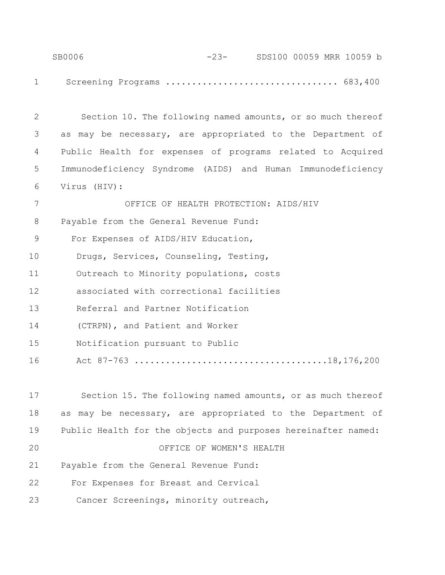| SB0006 | -23- SDS100 00059 MRR 10059 b |  |
|--------|-------------------------------|--|
|        |                               |  |
|        | Screening Programs  683,400   |  |

| $\overline{2}$ | Section 10. The following named amounts, or so much thereof |
|----------------|-------------------------------------------------------------|
| 3              | as may be necessary, are appropriated to the Department of  |
| 4              | Public Health for expenses of programs related to Acquired  |
| 5              | Immunodeficiency Syndrome (AIDS) and Human Immunodeficiency |
| 6              | Virus (HIV):                                                |
| $7\phantom{.}$ | OFFICE OF HEALTH PROTECTION: AIDS/HIV                       |
| 8              | Payable from the General Revenue Fund:                      |
| $\mathcal{G}$  | For Expenses of AIDS/HIV Education,                         |
| 10             | Drugs, Services, Counseling, Testing,                       |
| 11             | Outreach to Minority populations, costs                     |
| 12             | associated with correctional facilities                     |
| 13             | Referral and Partner Notification                           |
| 14             | (CTRPN), and Patient and Worker                             |
| 15             | Notification pursuant to Public                             |
| 16             |                                                             |
|                |                                                             |
| 17             | Section 15. The following named amounts, or as much thereof |

 as may be necessary, are appropriated to the Department of Public Health for the objects and purposes hereinafter named: OFFICE OF WOMEN'S HEALTH Payable from the General Revenue Fund: 22 For Expenses for Breast and Cervical 23 Cancer Screenings, minority outreach,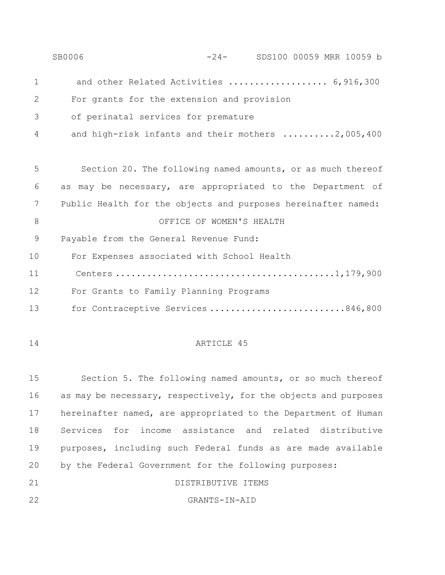|              | SB0006                                                        |            |  | -24- SDS100 00059 MRR 10059 b |  |
|--------------|---------------------------------------------------------------|------------|--|-------------------------------|--|
| $\mathbf 1$  | and other Related Activities  6,916,300                       |            |  |                               |  |
| $\mathbf{2}$ | For grants for the extension and provision                    |            |  |                               |  |
| 3            | of perinatal services for premature                           |            |  |                               |  |
| 4            | and high-risk infants and their mothers 2,005,400             |            |  |                               |  |
|              |                                                               |            |  |                               |  |
| 5            | Section 20. The following named amounts, or as much thereof   |            |  |                               |  |
| 6            | as may be necessary, are appropriated to the Department of    |            |  |                               |  |
| 7            | Public Health for the objects and purposes hereinafter named: |            |  |                               |  |
| 8            | OFFICE OF WOMEN'S HEALTH                                      |            |  |                               |  |
| 9            | Payable from the General Revenue Fund:                        |            |  |                               |  |
| 10           | For Expenses associated with School Health                    |            |  |                               |  |
| 11           |                                                               |            |  |                               |  |
| 12           | For Grants to Family Planning Programs                        |            |  |                               |  |
| 13           | for Contraceptive Services 846,800                            |            |  |                               |  |
|              |                                                               |            |  |                               |  |
| 14           |                                                               | ARTICLE 45 |  |                               |  |

 Section 5. The following named amounts, or so much thereof as may be necessary, respectively, for the objects and purposes hereinafter named, are appropriated to the Department of Human Services for income assistance and related distributive purposes, including such Federal funds as are made available by the Federal Government for the following purposes: DISTRIBUTIVE ITEMS

GRANTS-IN-AID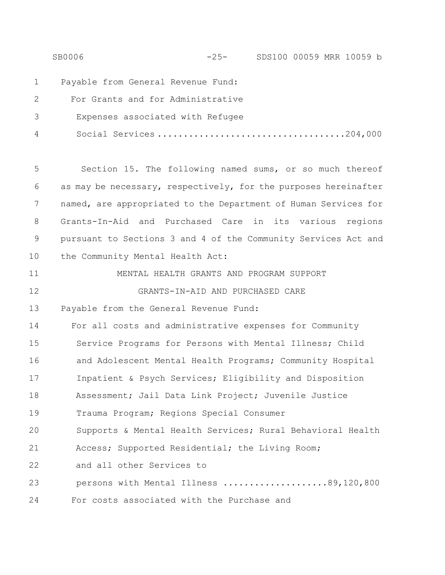SB0006 -25- SDS100 00059 MRR 10059 b 1 Payable from General Revenue Fund: 2 For Grants and for Administrative 3 Expenses associated with Refugee 4 Social Services ....................................204,000 5 Section 15. The following named sums, or so much thereof 6 as may be necessary, respectively, for the purposes hereinafter 7 named, are appropriated to the Department of Human Services for 8 Grants-In-Aid and Purchased Care in its various regions 9 pursuant to Sections 3 and 4 of the Community Services Act and 10 the Community Mental Health Act: 11 MENTAL HEALTH GRANTS AND PROGRAM SUPPORT 12 GRANTS-IN-AID AND PURCHASED CARE 13 Payable from the General Revenue Fund: 14 For all costs and administrative expenses for Community 15 Service Programs for Persons with Mental Illness; Child 16 and Adolescent Mental Health Programs; Community Hospital 17 Inpatient & Psych Services; Eligibility and Disposition 18 Assessment; Jail Data Link Project; Juvenile Justice 19 Trauma Program; Regions Special Consumer 20 Supports & Mental Health Services; Rural Behavioral Health 21 Access; Supported Residential; the Living Room; 22 and all other Services to 23 persons with Mental Illness ....................89,120,800 24 For costs associated with the Purchase and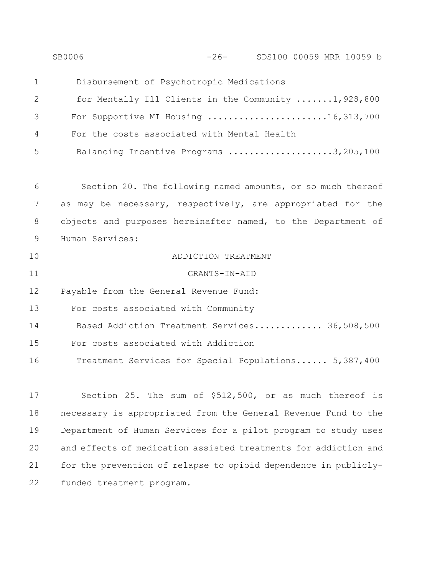|    | -26- SDS100 00059 MRR 10059 b<br>SB0006                         |
|----|-----------------------------------------------------------------|
| 1  | Disbursement of Psychotropic Medications                        |
| 2  | for Mentally Ill Clients in the Community 1,928,800             |
| 3  | For Supportive MI Housing 16,313,700                            |
| 4  | For the costs associated with Mental Health                     |
| 5  | Balancing Incentive Programs 3,205,100                          |
|    |                                                                 |
| 6  | Section 20. The following named amounts, or so much thereof     |
| 7  | as may be necessary, respectively, are appropriated for the     |
| 8  | objects and purposes hereinafter named, to the Department of    |
| 9  | Human Services:                                                 |
| 10 | ADDICTION TREATMENT                                             |
| 11 | GRANTS-IN-AID                                                   |
| 12 | Payable from the General Revenue Fund:                          |
| 13 | For costs associated with Community                             |
| 14 | Based Addiction Treatment Services 36,508,500                   |
| 15 | For costs associated with Addiction                             |
| 16 | Treatment Services for Special Populations 5,387,400            |
|    |                                                                 |
| 17 | Section 25. The sum of \$512,500, or as much thereof is         |
| 18 | necessary is appropriated from the General Revenue Fund to the  |
| 19 | Department of Human Services for a pilot program to study uses  |
| 20 | and effects of medication assisted treatments for addiction and |
| 21 | for the prevention of relapse to opioid dependence in publicly- |
| 22 | funded treatment program.                                       |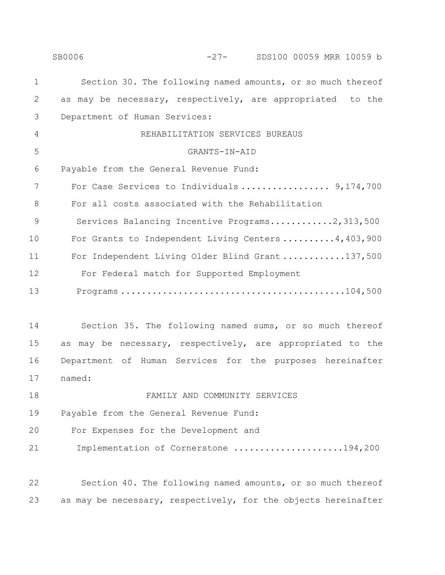|             | SB0006<br>$-27-$<br>SDS100 00059 MRR 10059 b                   |
|-------------|----------------------------------------------------------------|
| $\mathbf 1$ | Section 30. The following named amounts, or so much thereof    |
| 2           | as may be necessary, respectively, are appropriated to the     |
| 3           | Department of Human Services:                                  |
| 4           | REHABILITATION SERVICES BUREAUS                                |
| 5           | GRANTS-IN-AID                                                  |
| 6           | Payable from the General Revenue Fund:                         |
| 7           | For Case Services to Individuals  9,174,700                    |
| 8           | For all costs associated with the Rehabilitation               |
| 9           | Services Balancing Incentive Programs2,313,500                 |
| 10          | For Grants to Independent Living Centers $4,403,900$           |
| 11          | For Independent Living Older Blind Grant 137,500               |
| 12          | For Federal match for Supported Employment                     |
| 13          |                                                                |
|             |                                                                |
| 14          | Section 35. The following named sums, or so much thereof       |
| 15          | may be necessary, respectively, are appropriated to the<br>as  |
| 16          | Department of Human Services for the purposes hereinafter      |
| 17          | named:                                                         |
| 18          | FAMILY AND COMMUNITY SERVICES                                  |
| 19          | Payable from the General Revenue Fund:                         |
| 20          | For Expenses for the Development and                           |
| 21          | Implementation of Cornerstone 194,200                          |
|             |                                                                |
| 22          | Section 40. The following named amounts, or so much thereof    |
| 23          | as may be necessary, respectively, for the objects hereinafter |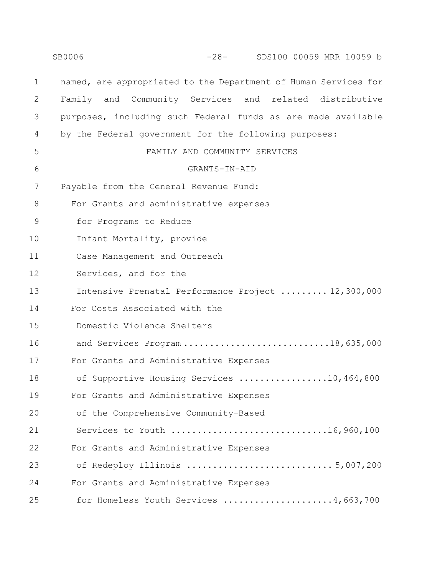|               | SB0006<br>-28- SDS100 00059 MRR 10059 b                         |  |
|---------------|-----------------------------------------------------------------|--|
| $\mathbf 1$   | named, are appropriated to the Department of Human Services for |  |
| 2             | Family and Community Services and related distributive          |  |
| 3             | purposes, including such Federal funds as are made available    |  |
| 4             | by the Federal government for the following purposes:           |  |
| 5             | FAMILY AND COMMUNITY SERVICES                                   |  |
| 6             | GRANTS-IN-AID                                                   |  |
| 7             | Payable from the General Revenue Fund:                          |  |
| 8             | For Grants and administrative expenses                          |  |
| $\mathcal{G}$ | for Programs to Reduce                                          |  |
| 10            | Infant Mortality, provide                                       |  |
| 11            | Case Management and Outreach                                    |  |
| 12            | Services, and for the                                           |  |
| 13            | Intensive Prenatal Performance Project  12,300,000              |  |
| 14            | For Costs Associated with the                                   |  |
| 15            | Domestic Violence Shelters                                      |  |
| 16            | and Services Program18,635,000                                  |  |
| 17            | For Grants and Administrative Expenses                          |  |
| 18            | of Supportive Housing Services 10,464,800                       |  |
| 19            | For Grants and Administrative Expenses                          |  |
| 20            | of the Comprehensive Community-Based                            |  |
| 21            | Services to Youth 16,960,100                                    |  |
| 22            | For Grants and Administrative Expenses                          |  |
| 23            | of Redeploy Illinois 5,007,200                                  |  |
| 24            | For Grants and Administrative Expenses                          |  |
| 25            | for Homeless Youth Services 4,663,700                           |  |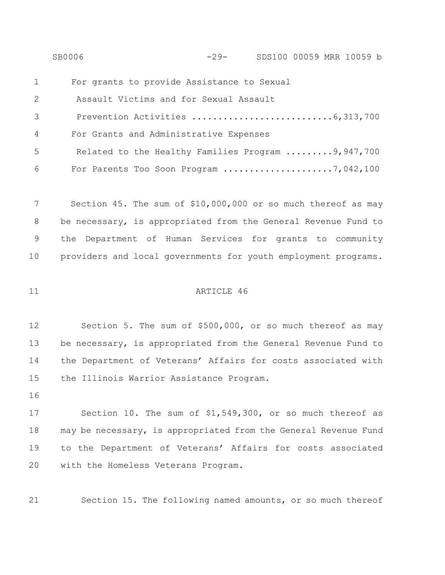|                | SB0006                                            | $-29-$ | SDS100 00059 MRR 10059 b |  |  |
|----------------|---------------------------------------------------|--------|--------------------------|--|--|
| $\mathbf{1}$   | For grants to provide Assistance to Sexual        |        |                          |  |  |
| 2              | Assault Victims and for Sexual Assault            |        |                          |  |  |
| $\mathcal{S}$  |                                                   |        |                          |  |  |
| $\overline{4}$ | For Grants and Administrative Expenses            |        |                          |  |  |
| -5             | Related to the Healthy Families Program 9,947,700 |        |                          |  |  |
| 6              | For Parents Too Soon Program 7,042,100            |        |                          |  |  |

 Section 45. The sum of \$10,000,000 or so much thereof as may be necessary, is appropriated from the General Revenue Fund to the Department of Human Services for grants to community providers and local governments for youth employment programs.

#### 11 ARTICLE 46

 Section 5. The sum of \$500,000, or so much thereof as may 13 be necessary, is appropriated from the General Revenue Fund to the Department of Veterans' Affairs for costs associated with the Illinois Warrior Assistance Program.

16

 Section 10. The sum of \$1,549,300, or so much thereof as may be necessary, is appropriated from the General Revenue Fund to the Department of Veterans' Affairs for costs associated with the Homeless Veterans Program.

21 Section 15. The following named amounts, or so much thereof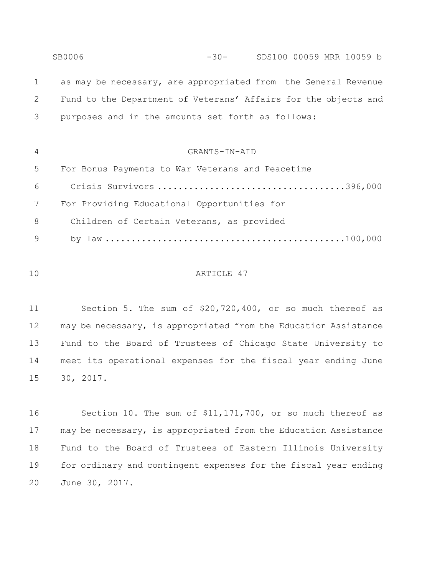SB0006 -30- SDS100 00059 MRR 10059 b as may be necessary, are appropriated from the General Revenue Fund to the Department of Veterans' Affairs for the objects and purposes and in the amounts set forth as follows: GRANTS-IN-AID For Bonus Payments to War Veterans and Peacetime Crisis Survivors ....................................396,000 For Providing Educational Opportunities for Children of Certain Veterans, as provided by law ..............................................100,000

#### ARTICLE 47

 Section 5. The sum of \$20,720,400, or so much thereof as may be necessary, is appropriated from the Education Assistance Fund to the Board of Trustees of Chicago State University to meet its operational expenses for the fiscal year ending June 30, 2017.

 Section 10. The sum of \$11,171,700, or so much thereof as may be necessary, is appropriated from the Education Assistance Fund to the Board of Trustees of Eastern Illinois University for ordinary and contingent expenses for the fiscal year ending June 30, 2017.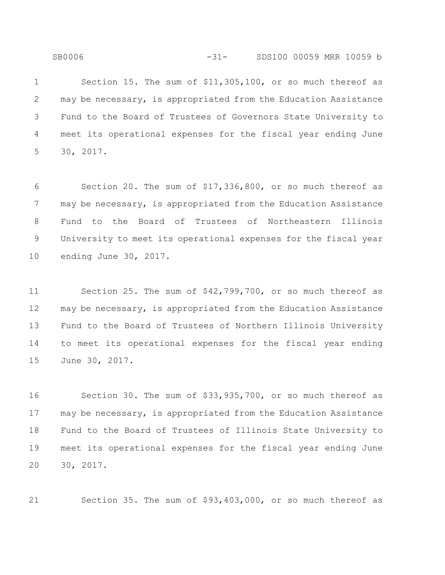SB0006 -31- SDS100 00059 MRR 10059 b

 Section 15. The sum of \$11,305,100, or so much thereof as may be necessary, is appropriated from the Education Assistance Fund to the Board of Trustees of Governors State University to meet its operational expenses for the fiscal year ending June 30, 2017.

 Section 20. The sum of \$17,336,800, or so much thereof as may be necessary, is appropriated from the Education Assistance Fund to the Board of Trustees of Northeastern Illinois University to meet its operational expenses for the fiscal year ending June 30, 2017.

 Section 25. The sum of \$42,799,700, or so much thereof as may be necessary, is appropriated from the Education Assistance Fund to the Board of Trustees of Northern Illinois University to meet its operational expenses for the fiscal year ending June 30, 2017.

 Section 30. The sum of \$33,935,700, or so much thereof as may be necessary, is appropriated from the Education Assistance Fund to the Board of Trustees of Illinois State University to meet its operational expenses for the fiscal year ending June 30, 2017.

Section 35. The sum of \$93,403,000, or so much thereof as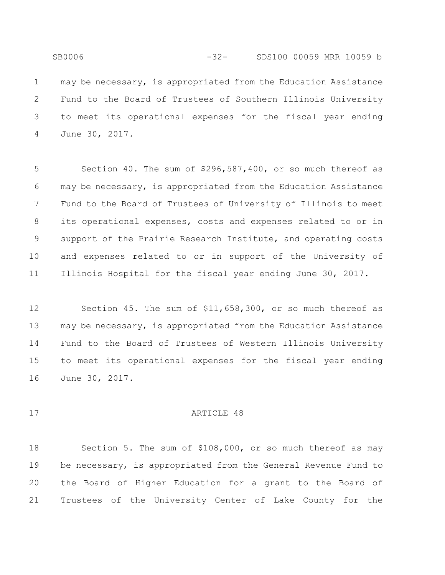SB0006 -32- SDS100 00059 MRR 10059 b may be necessary, is appropriated from the Education Assistance Fund to the Board of Trustees of Southern Illinois University to meet its operational expenses for the fiscal year ending

June 30, 2017.

 Section 40. The sum of \$296,587,400, or so much thereof as may be necessary, is appropriated from the Education Assistance Fund to the Board of Trustees of University of Illinois to meet its operational expenses, costs and expenses related to or in support of the Prairie Research Institute, and operating costs and expenses related to or in support of the University of Illinois Hospital for the fiscal year ending June 30, 2017.

 Section 45. The sum of \$11,658,300, or so much thereof as may be necessary, is appropriated from the Education Assistance Fund to the Board of Trustees of Western Illinois University to meet its operational expenses for the fiscal year ending June 30, 2017.

#### 17 ARTICLE 48

 Section 5. The sum of \$108,000, or so much thereof as may be necessary, is appropriated from the General Revenue Fund to the Board of Higher Education for a grant to the Board of Trustees of the University Center of Lake County for the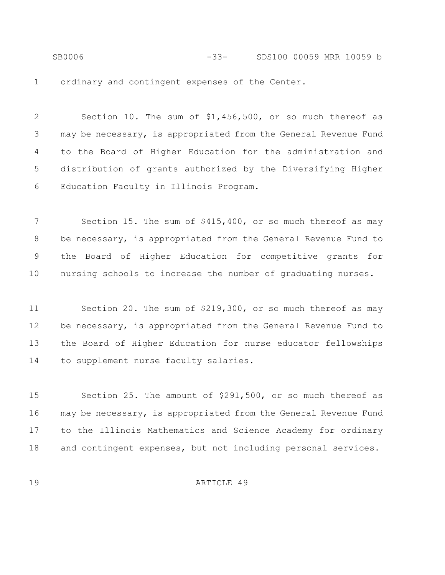SB0006 -33- SDS100 00059 MRR 10059 b ordinary and contingent expenses of the Center.

 Section 10. The sum of \$1,456,500, or so much thereof as may be necessary, is appropriated from the General Revenue Fund to the Board of Higher Education for the administration and distribution of grants authorized by the Diversifying Higher Education Faculty in Illinois Program.

 Section 15. The sum of \$415,400, or so much thereof as may be necessary, is appropriated from the General Revenue Fund to the Board of Higher Education for competitive grants for nursing schools to increase the number of graduating nurses.

 Section 20. The sum of \$219,300, or so much thereof as may be necessary, is appropriated from the General Revenue Fund to the Board of Higher Education for nurse educator fellowships to supplement nurse faculty salaries.

 Section 25. The amount of \$291,500, or so much thereof as may be necessary, is appropriated from the General Revenue Fund to the Illinois Mathematics and Science Academy for ordinary and contingent expenses, but not including personal services.

19 ARTICLE 49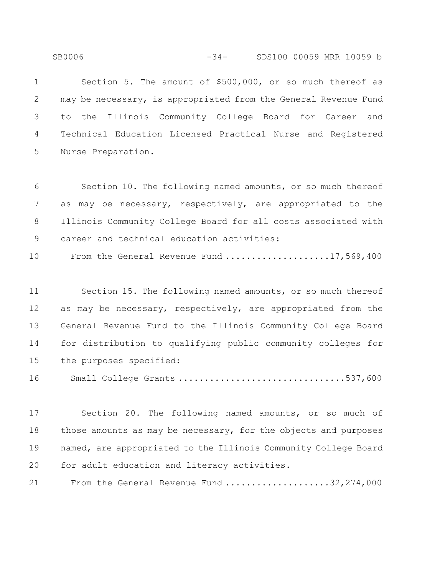Section 5. The amount of \$500,000, or so much thereof as may be necessary, is appropriated from the General Revenue Fund to the Illinois Community College Board for Career and Technical Education Licensed Practical Nurse and Registered Nurse Preparation.

 Section 10. The following named amounts, or so much thereof as may be necessary, respectively, are appropriated to the Illinois Community College Board for all costs associated with career and technical education activities:

10 From the General Revenue Fund ....................17,569,400

 Section 15. The following named amounts, or so much thereof as may be necessary, respectively, are appropriated from the General Revenue Fund to the Illinois Community College Board for distribution to qualifying public community colleges for the purposes specified:

Small College Grants ................................537,600

 Section 20. The following named amounts, or so much of those amounts as may be necessary, for the objects and purposes named, are appropriated to the Illinois Community College Board for adult education and literacy activities.

From the General Revenue Fund ....................32,274,000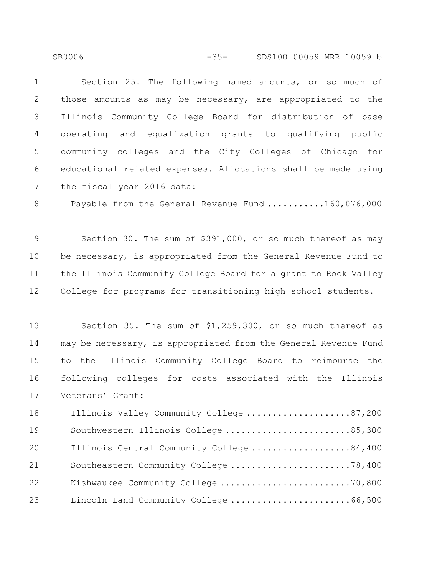SB0006 -35- SDS100 00059 MRR 10059 b

 Section 25. The following named amounts, or so much of those amounts as may be necessary, are appropriated to the Illinois Community College Board for distribution of base operating and equalization grants to qualifying public community colleges and the City Colleges of Chicago for educational related expenses. Allocations shall be made using the fiscal year 2016 data:

8 Payable from the General Revenue Fund ...........160,076,000

 Section 30. The sum of \$391,000, or so much thereof as may be necessary, is appropriated from the General Revenue Fund to the Illinois Community College Board for a grant to Rock Valley College for programs for transitioning high school students.

 Section 35. The sum of \$1,259,300, or so much thereof as may be necessary, is appropriated from the General Revenue Fund to the Illinois Community College Board to reimburse the following colleges for costs associated with the Illinois Veterans' Grant:

18 Illinois Valley Community College ......................87,200 19 Southwestern Illinois College ...........................85,300 20 Illinois Central Community College ....................84,400 21 Southeastern Community College ..........................78,400 Kishwaukee Community College .........................70,800 23 Lincoln Land Community College .............................66,500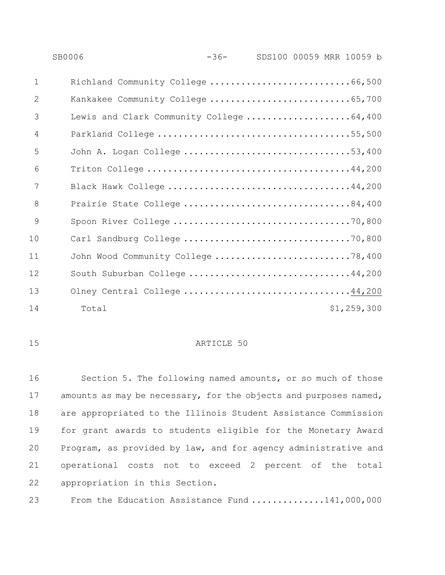|                | <b>SB0006</b>                            | $-36-$ | SDS100 00059 MRR 10059 b |             |
|----------------|------------------------------------------|--------|--------------------------|-------------|
| $\mathbf{1}$   | Richland Community College 66,500        |        |                          |             |
| 2              | Kankakee Community College 65,700        |        |                          |             |
| 3              | Lewis and Clark Community College 64,400 |        |                          |             |
| $\overline{4}$ |                                          |        |                          |             |
| 5              | John A. Logan College 53,400             |        |                          |             |
| 6              |                                          |        |                          |             |
| 7              |                                          |        |                          |             |
| 8              | Prairie State College 84,400             |        |                          |             |
| 9              |                                          |        |                          |             |
| 10             |                                          |        |                          |             |
| 11             | John Wood Community College 78,400       |        |                          |             |
| 12             | South Suburban College 44,200            |        |                          |             |
| 13             | Olney Central College 44,200             |        |                          |             |
| 14             | Total                                    |        |                          | \$1,259,300 |

#### 15 ARTICLE 50

 Section 5. The following named amounts, or so much of those 17 amounts as may be necessary, for the objects and purposes named, are appropriated to the Illinois Student Assistance Commission for grant awards to students eligible for the Monetary Award Program, as provided by law, and for agency administrative and operational costs not to exceed 2 percent of the total appropriation in this Section.

23 From the Education Assistance Fund .............141,000,000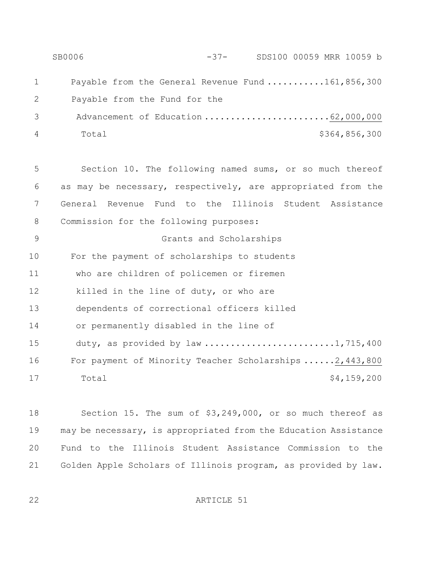SB0006 -37- SDS100 00059 MRR 10059 b 1 Payable from the General Revenue Fund ...........161,856,300 2 Payable from the Fund for the 3 Advancement of Education ...........................62,000,000 Total \$364,856,300

 Section 10. The following named sums, or so much thereof as may be necessary, respectively, are appropriated from the General Revenue Fund to the Illinois Student Assistance Commission for the following purposes:

 Grants and Scholarships For the payment of scholarships to students who are children of policemen or firemen killed in the line of duty, or who are dependents of correctional officers killed or permanently disabled in the line of 15 duty, as provided by law ............................1,715,400 For payment of Minority Teacher Scholarships ......2,443,800 17 Total \$4,159,200

 Section 15. The sum of \$3,249,000, or so much thereof as may be necessary, is appropriated from the Education Assistance Fund to the Illinois Student Assistance Commission to the Golden Apple Scholars of Illinois program, as provided by law.

ARTICLE 51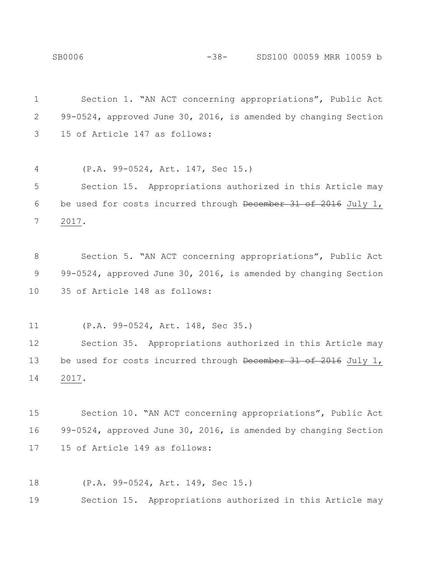Section 1. "AN ACT concerning appropriations", Public Act 99-0524, approved June 30, 2016, is amended by changing Section 15 of Article 147 as follows: (P.A. 99-0524, Art. 147, Sec 15.) Section 15. Appropriations authorized in this Article may be used for costs incurred through December 31 of 2016 July 1, 2017. Section 5. "AN ACT concerning appropriations", Public Act 9 99-0524, approved June 30, 2016, is amended by changing Section 35 of Article 148 as follows: (P.A. 99-0524, Art. 148, Sec 35.) Section 35. Appropriations authorized in this Article may 13 be used for costs incurred through December 31 of 2016 July 1, 2017. Section 10. "AN ACT concerning appropriations", Public Act 99-0524, approved June 30, 2016, is amended by changing Section 15 of Article 149 as follows: (P.A. 99-0524, Art. 149, Sec 15.)

Section 15. Appropriations authorized in this Article may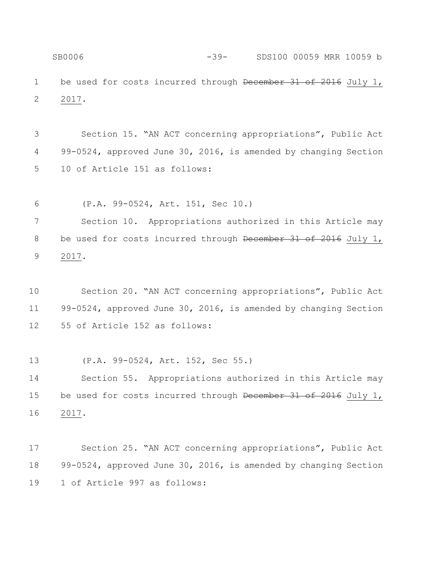SB0006 -39- SDS100 00059 MRR 10059 b 1 be used for costs incurred through December 31 of 2016 July 1, 2017.

 Section 15. "AN ACT concerning appropriations", Public Act 99-0524, approved June 30, 2016, is amended by changing Section 10 of Article 151 as follows:

(P.A. 99-0524, Art. 151, Sec 10.)

 Section 10. Appropriations authorized in this Article may 8 be used for costs incurred through December 31 of 2016 July 1, 2017.

 Section 20. "AN ACT concerning appropriations", Public Act 99-0524, approved June 30, 2016, is amended by changing Section 55 of Article 152 as follows:

(P.A. 99-0524, Art. 152, Sec 55.)

 Section 55. Appropriations authorized in this Article may 15 be used for costs incurred through December 31 of 2016 July 1, 2017.

 Section 25. "AN ACT concerning appropriations", Public Act 99-0524, approved June 30, 2016, is amended by changing Section 1 of Article 997 as follows: